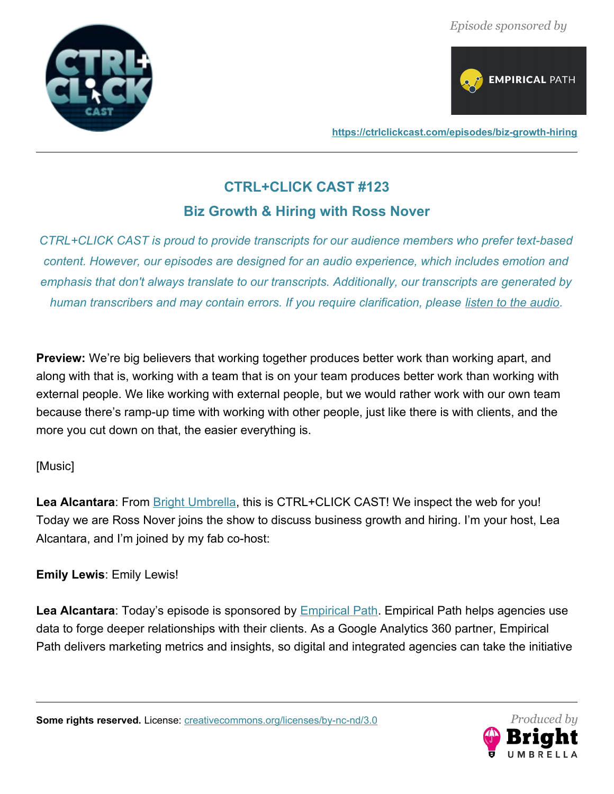



**<https://ctrlclickcast.com/episodes/biz-growth-hiring>**

# **CTRL+CLICK CAST #123**

## **Biz Growth & Hiring with Ross Nover**

*CTRL+CLICK CAST is proud to provide transcripts for our audience members who prefer text-based content. However, our episodes are designed for an audio experience, which includes emotion and emphasis that don't always translate to our transcripts. Additionally, our transcripts are generated by human transcribers and may contain errors. If you require clarification, please <u>[listen to the audio](https://ctrlclickcast.com/episodes/biz-growth-hiring)</u>.* 

**Preview:** We're big believers that working together produces better work than working apart, and along with that is, working with a team that is on your team produces better work than working with external people. We like working with external people, but we would rather work with our own team because there's ramp-up time with working with other people, just like there is with clients, and the more you cut down on that, the easier everything is.

## [Music]

**Lea Alcantara**: From [Bright Umbrella](http://abrightumbrella.com/), this is CTRL+CLICK CAST! We inspect the web for you! Today we are Ross Nover joins the show to discuss business growth and hiring. I'm your host, Lea Alcantara, and I'm joined by my fab co-host:

**Emily Lewis**: Emily Lewis!

Lea Alcantara: Today's episode is sponsored by **Empirical Path. [Empirical Path](https://www.empiricalpath.com/) helps agencies use** data to forge deeper relationships with their clients. As a Google Analytics 360 partner, Empirical Path delivers marketing metrics and insights, so digital and integrated agencies can take the initiative

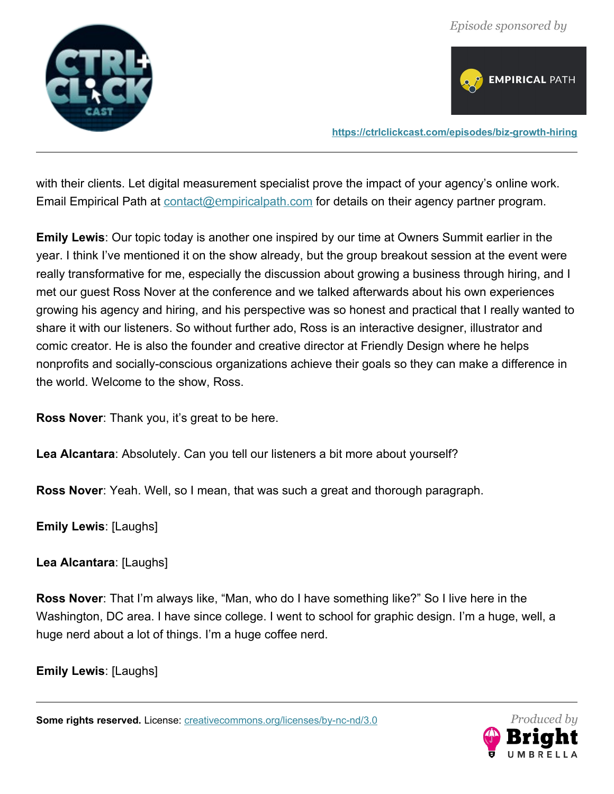



**<https://ctrlclickcast.com/episodes/biz-growth-hiring>**

with their clients. Let digital measurement specialist prove the impact of your agency's online work. Email Empirical Path at contact@e[mpiricalpath.com](mailto:contact@empiricalpath.com) for details on their agency partner program.

**Emily Lewis**: Our topic today is another one inspired by our time at Owners Summit earlier in the year. I think I've mentioned it on the show already, but the group breakout session at the event were really transformative for me, especially the discussion about growing a business through hiring, and I met our guest Ross Nover at the conference and we talked afterwards about his own experiences growing his agency and hiring, and his perspective was so honest and practical that I really wanted to share it with our listeners. So without further ado, Ross is an interactive designer, illustrator and comic creator. He is also the founder and creative director at Friendly Design where he helps nonprofits and socially-conscious organizations achieve their goals so they can make a difference in the world. Welcome to the show, Ross.

**Ross Nover**: Thank you, it's great to be here.

**Lea Alcantara**: Absolutely. Can you tell our listeners a bit more about yourself?

**Ross Nover**: Yeah. Well, so I mean, that was such a great and thorough paragraph.

**Emily Lewis**: [Laughs]

**Lea Alcantara**: [Laughs]

**Ross Nover**: That I'm always like, "Man, who do I have something like?" So I live here in the Washington, DC area. I have since college. I went to school for graphic design. I'm a huge, well, a huge nerd about a lot of things. I'm a huge coffee nerd.

**Emily Lewis**: [Laughs]

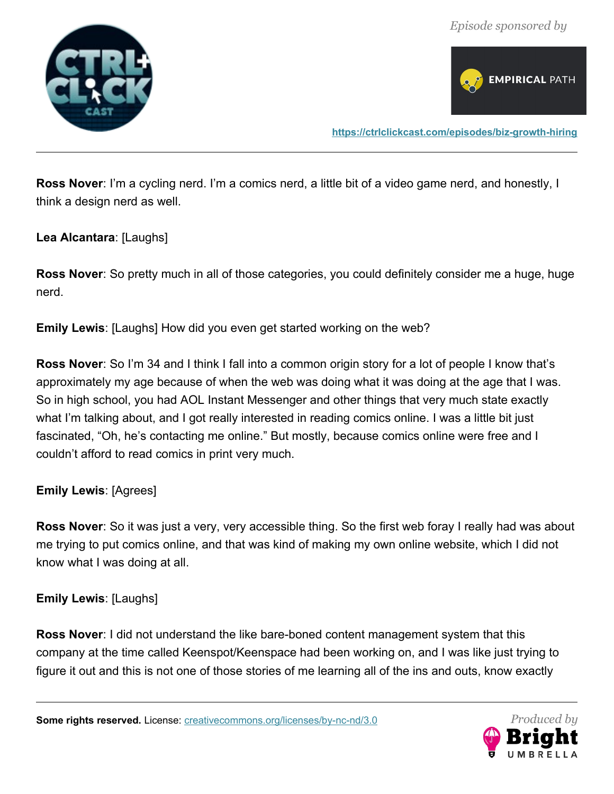



**Ross Nover**: I'm a cycling nerd. I'm a comics nerd, a little bit of a video game nerd, and honestly, I think a design nerd as well.

#### **Lea Alcantara**: [Laughs]

**Ross Nover**: So pretty much in all of those categories, you could definitely consider me a huge, huge nerd.

**Emily Lewis**: [Laughs] How did you even get started working on the web?

**Ross Nover**: So I'm 34 and I think I fall into a common origin story for a lot of people I know that's approximately my age because of when the web was doing what it was doing at the age that I was. So in high school, you had AOL Instant Messenger and other things that very much state exactly what I'm talking about, and I got really interested in reading comics online. I was a little bit just fascinated, "Oh, he's contacting me online." But mostly, because comics online were free and I couldn't afford to read comics in print very much.

## **Emily Lewis**: [Agrees]

**Ross Nover**: So it was just a very, very accessible thing. So the first web foray I really had was about me trying to put comics online, and that was kind of making my own online website, which I did not know what I was doing at all.

#### **Emily Lewis**: [Laughs]

**Ross Nover**: I did not understand the like bare-boned content management system that this company at the time called Keenspot/Keenspace had been working on, and I was like just trying to figure it out and this is not one of those stories of me learning all of the ins and outs, know exactly

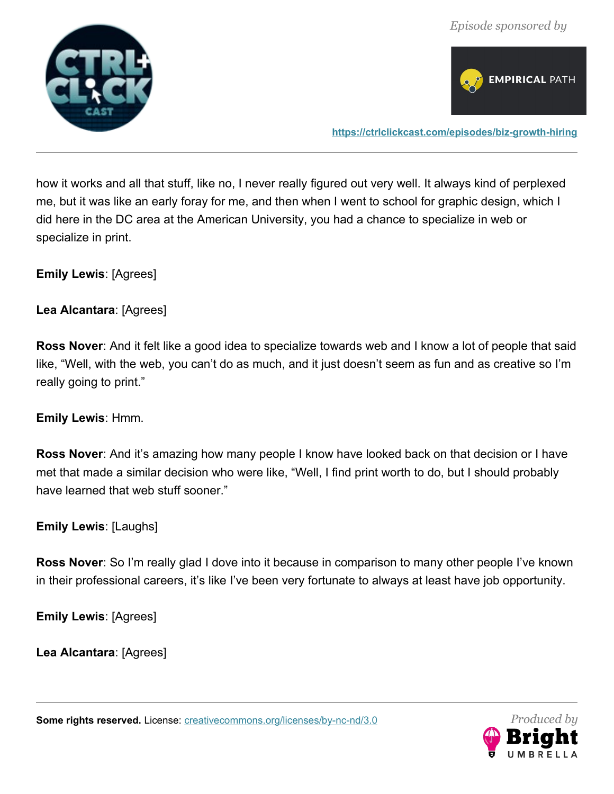



**<https://ctrlclickcast.com/episodes/biz-growth-hiring>**

how it works and all that stuff, like no, I never really figured out very well. It always kind of perplexed me, but it was like an early foray for me, and then when I went to school for graphic design, which I did here in the DC area at the American University, you had a chance to specialize in web or specialize in print.

**Emily Lewis**: [Agrees]

**Lea Alcantara**: [Agrees]

**Ross Nover**: And it felt like a good idea to specialize towards web and I know a lot of people that said like, "Well, with the web, you can't do as much, and it just doesn't seem as fun and as creative so I'm really going to print."

#### **Emily Lewis**: Hmm.

**Ross Nover**: And it's amazing how many people I know have looked back on that decision or I have met that made a similar decision who were like, "Well, I find print worth to do, but I should probably have learned that web stuff sooner."

**Emily Lewis**: [Laughs]

**Ross Nover**: So I'm really glad I dove into it because in comparison to many other people I've known in their professional careers, it's like I've been very fortunate to always at least have job opportunity.

**Emily Lewis**: [Agrees]

**Lea Alcantara**: [Agrees]

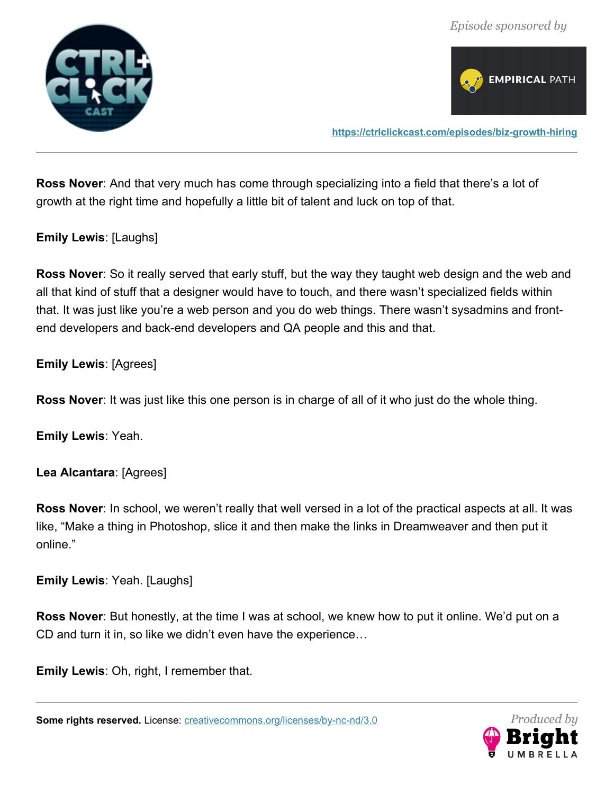



**<https://ctrlclickcast.com/episodes/biz-growth-hiring>**

**Ross Nover**: And that very much has come through specializing into a field that there's a lot of growth at the right time and hopefully a little bit of talent and luck on top of that.

**Emily Lewis**: [Laughs]

**Ross Nover**: So it really served that early stuff, but the way they taught web design and the web and all that kind of stuff that a designer would have to touch, and there wasn't specialized fields within that. It was just like you're a web person and you do web things. There wasn't sysadmins and frontend developers and back-end developers and QA people and this and that.

**Emily Lewis**: [Agrees]

**Ross Nover**: It was just like this one person is in charge of all of it who just do the whole thing.

**Emily Lewis**: Yeah.

**Lea Alcantara**: [Agrees]

**Ross Nover**: In school, we weren't really that well versed in a lot of the practical aspects at all. It was like, "Make a thing in Photoshop, slice it and then make the links in Dreamweaver and then put it online."

**Emily Lewis**: Yeah. [Laughs]

**Ross Nover**: But honestly, at the time I was at school, we knew how to put it online. We'd put on a CD and turn it in, so like we didn't even have the experience…

**Emily Lewis**: Oh, right, I remember that.

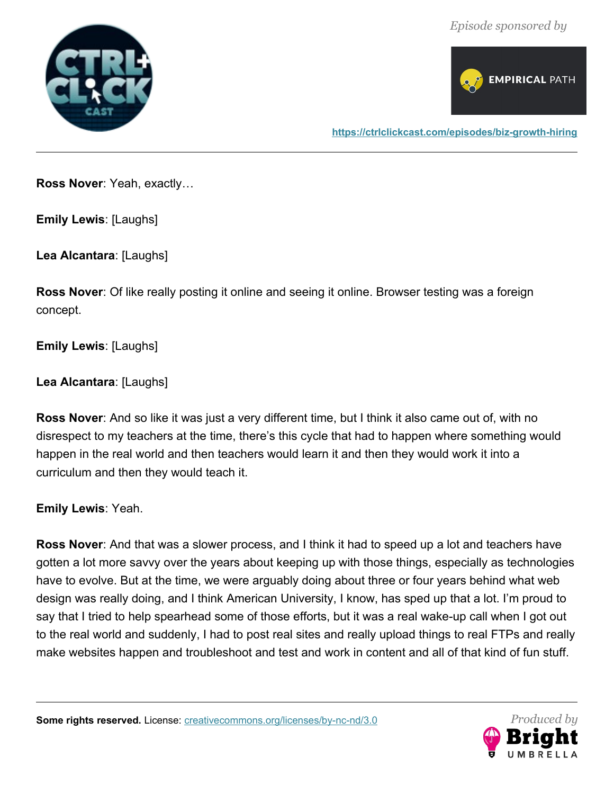



**Ross Nover**: Yeah, exactly…

**Emily Lewis**: [Laughs]

**Lea Alcantara**: [Laughs]

**Ross Nover**: Of like really posting it online and seeing it online. Browser testing was a foreign concept.

**Emily Lewis**: [Laughs]

**Lea Alcantara**: [Laughs]

**Ross Nover**: And so like it was just a very different time, but I think it also came out of, with no disrespect to my teachers at the time, there's this cycle that had to happen where something would happen in the real world and then teachers would learn it and then they would work it into a curriculum and then they would teach it.

**Emily Lewis**: Yeah.

**Ross Nover**: And that was a slower process, and I think it had to speed up a lot and teachers have gotten a lot more savvy over the years about keeping up with those things, especially as technologies have to evolve. But at the time, we were arguably doing about three or four years behind what web design was really doing, and I think American University, I know, has sped up that a lot. I'm proud to say that I tried to help spearhead some of those efforts, but it was a real wake-up call when I got out to the real world and suddenly, I had to post real sites and really upload things to real FTPs and really make websites happen and troubleshoot and test and work in content and all of that kind of fun stuff.

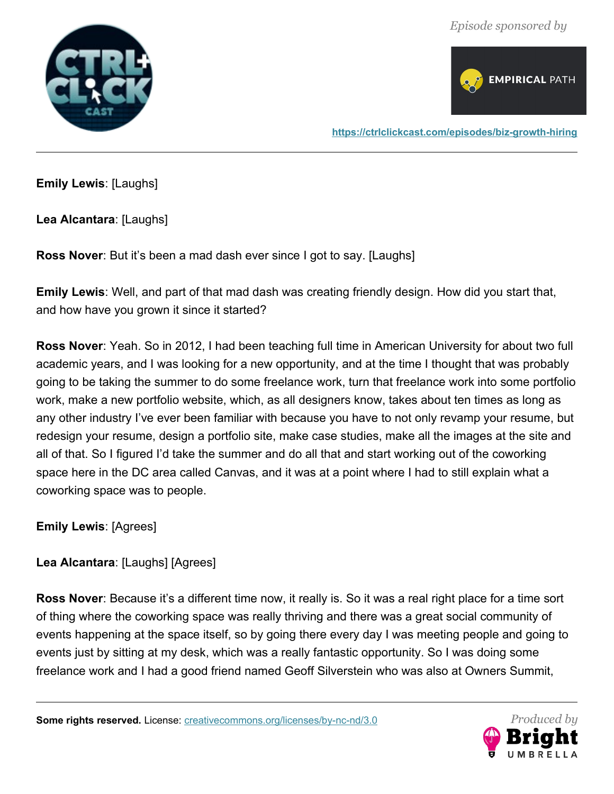



**Emily Lewis**: [Laughs]

**Lea Alcantara**: [Laughs]

**Ross Nover**: But it's been a mad dash ever since I got to say. [Laughs]

**Emily Lewis**: Well, and part of that mad dash was creating friendly design. How did you start that, and how have you grown it since it started?

**Ross Nover**: Yeah. So in 2012, I had been teaching full time in American University for about two full academic years, and I was looking for a new opportunity, and at the time I thought that was probably going to be taking the summer to do some freelance work, turn that freelance work into some portfolio work, make a new portfolio website, which, as all designers know, takes about ten times as long as any other industry I've ever been familiar with because you have to not only revamp your resume, but redesign your resume, design a portfolio site, make case studies, make all the images at the site and all of that. So I figured I'd take the summer and do all that and start working out of the coworking space here in the DC area called Canvas, and it was at a point where I had to still explain what a coworking space was to people.

**Emily Lewis**: [Agrees]

**Lea Alcantara**: [Laughs] [Agrees]

**Ross Nover**: Because it's a different time now, it really is. So it was a real right place for a time sort of thing where the coworking space was really thriving and there was a great social community of events happening at the space itself, so by going there every day I was meeting people and going to events just by sitting at my desk, which was a really fantastic opportunity. So I was doing some freelance work and I had a good friend named Geoff Silverstein who was also at Owners Summit,

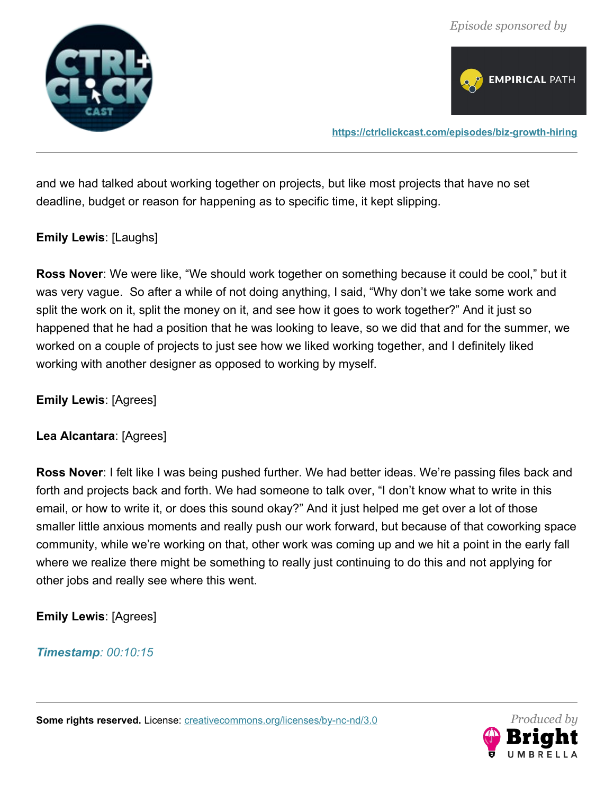



**<https://ctrlclickcast.com/episodes/biz-growth-hiring>**

and we had talked about working together on projects, but like most projects that have no set deadline, budget or reason for happening as to specific time, it kept slipping.

### **Emily Lewis**: [Laughs]

**Ross Nover**: We were like, "We should work together on something because it could be cool," but it was very vague. So after a while of not doing anything, I said, "Why don't we take some work and split the work on it, split the money on it, and see how it goes to work together?" And it just so happened that he had a position that he was looking to leave, so we did that and for the summer, we worked on a couple of projects to just see how we liked working together, and I definitely liked working with another designer as opposed to working by myself.

**Emily Lewis**: [Agrees]

#### **Lea Alcantara**: [Agrees]

**Ross Nover**: I felt like I was being pushed further. We had better ideas. We're passing files back and forth and projects back and forth. We had someone to talk over, "I don't know what to write in this email, or how to write it, or does this sound okay?" And it just helped me get over a lot of those smaller little anxious moments and really push our work forward, but because of that coworking space community, while we're working on that, other work was coming up and we hit a point in the early fall where we realize there might be something to really just continuing to do this and not applying for other jobs and really see where this went.

## **Emily Lewis**: [Agrees]

#### *Timestamp: 00:10:15*

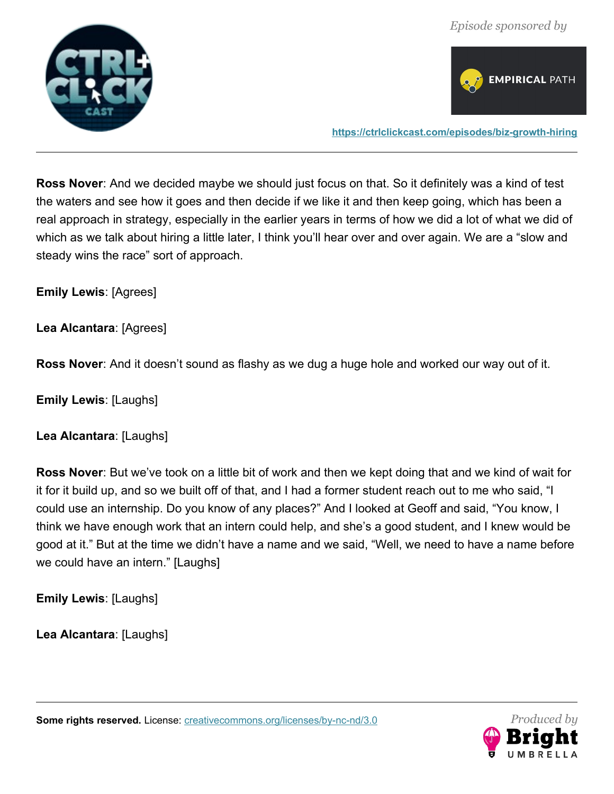



**<https://ctrlclickcast.com/episodes/biz-growth-hiring>**

**Ross Nover**: And we decided maybe we should just focus on that. So it definitely was a kind of test the waters and see how it goes and then decide if we like it and then keep going, which has been a real approach in strategy, especially in the earlier years in terms of how we did a lot of what we did of which as we talk about hiring a little later, I think you'll hear over and over again. We are a "slow and steady wins the race" sort of approach.

**Emily Lewis**: [Agrees]

**Lea Alcantara**: [Agrees]

**Ross Nover**: And it doesn't sound as flashy as we dug a huge hole and worked our way out of it.

**Emily Lewis**: [Laughs]

**Lea Alcantara**: [Laughs]

**Ross Nover**: But we've took on a little bit of work and then we kept doing that and we kind of wait for it for it build up, and so we built off of that, and I had a former student reach out to me who said, "I could use an internship. Do you know of any places?" And I looked at Geoff and said, "You know, I think we have enough work that an intern could help, and she's a good student, and I knew would be good at it." But at the time we didn't have a name and we said, "Well, we need to have a name before we could have an intern." [Laughs]

**Emily Lewis**: [Laughs]

**Lea Alcantara**: [Laughs]

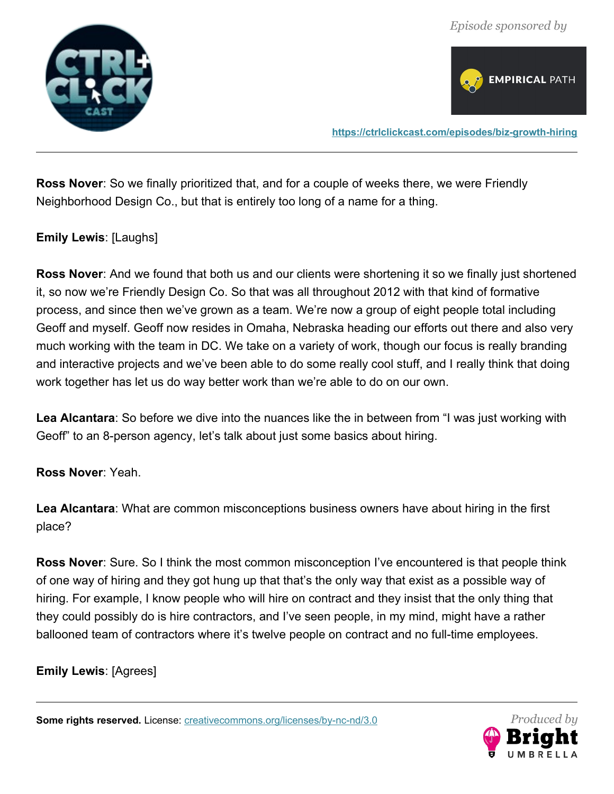



**<https://ctrlclickcast.com/episodes/biz-growth-hiring>**

**Ross Nover**: So we finally prioritized that, and for a couple of weeks there, we were Friendly Neighborhood Design Co., but that is entirely too long of a name for a thing.

#### **Emily Lewis**: [Laughs]

**Ross Nover**: And we found that both us and our clients were shortening it so we finally just shortened it, so now we're Friendly Design Co. So that was all throughout 2012 with that kind of formative process, and since then we've grown as a team. We're now a group of eight people total including Geoff and myself. Geoff now resides in Omaha, Nebraska heading our efforts out there and also very much working with the team in DC. We take on a variety of work, though our focus is really branding and interactive projects and we've been able to do some really cool stuff, and I really think that doing work together has let us do way better work than we're able to do on our own.

**Lea Alcantara**: So before we dive into the nuances like the in between from "I was just working with Geoff" to an 8-person agency, let's talk about just some basics about hiring.

#### **Ross Nover**: Yeah.

**Lea Alcantara**: What are common misconceptions business owners have about hiring in the first place?

**Ross Nover**: Sure. So I think the most common misconception I've encountered is that people think of one way of hiring and they got hung up that that's the only way that exist as a possible way of hiring. For example, I know people who will hire on contract and they insist that the only thing that they could possibly do is hire contractors, and I've seen people, in my mind, might have a rather ballooned team of contractors where it's twelve people on contract and no full-time employees.

#### **Emily Lewis**: [Agrees]

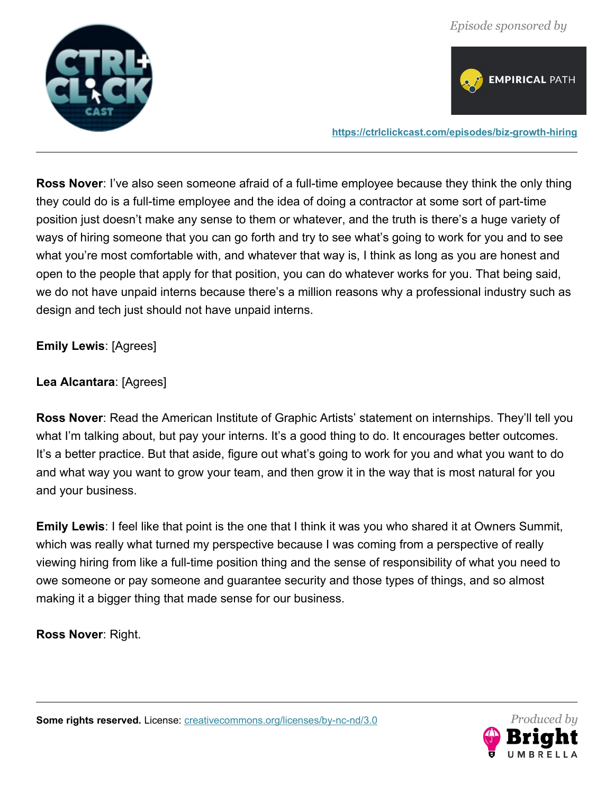



**<https://ctrlclickcast.com/episodes/biz-growth-hiring>**

**Ross Nover**: I've also seen someone afraid of a full-time employee because they think the only thing they could do is a full-time employee and the idea of doing a contractor at some sort of part-time position just doesn't make any sense to them or whatever, and the truth is there's a huge variety of ways of hiring someone that you can go forth and try to see what's going to work for you and to see what you're most comfortable with, and whatever that way is, I think as long as you are honest and open to the people that apply for that position, you can do whatever works for you. That being said, we do not have unpaid interns because there's a million reasons why a professional industry such as design and tech just should not have unpaid interns.

**Emily Lewis**: [Agrees]

**Lea Alcantara**: [Agrees]

**Ross Nover**: Read the American Institute of Graphic Artists' statement on internships. They'll tell you what I'm talking about, but pay your interns. It's a good thing to do. It encourages better outcomes. It's a better practice. But that aside, figure out what's going to work for you and what you want to do and what way you want to grow your team, and then grow it in the way that is most natural for you and your business.

**Emily Lewis**: I feel like that point is the one that I think it was you who shared it at Owners Summit, which was really what turned my perspective because I was coming from a perspective of really viewing hiring from like a full-time position thing and the sense of responsibility of what you need to owe someone or pay someone and guarantee security and those types of things, and so almost making it a bigger thing that made sense for our business.

**Ross Nover**: Right.

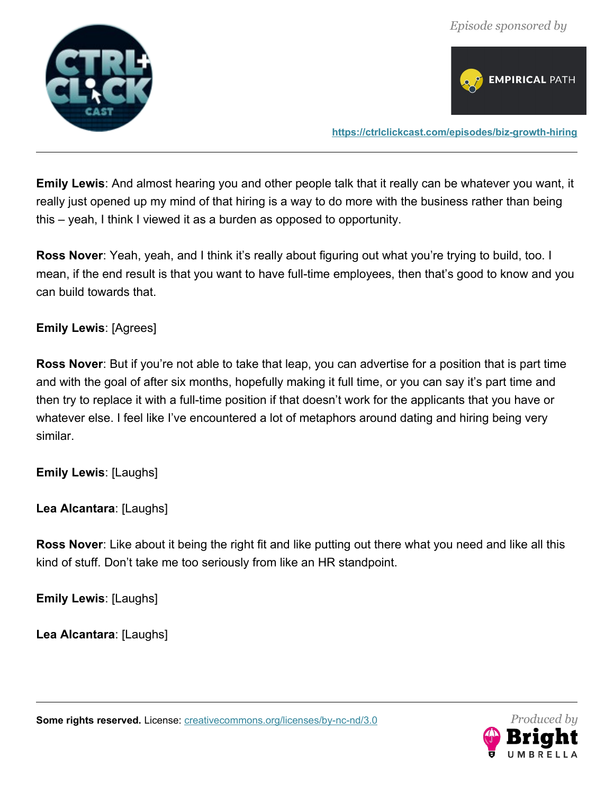



**<https://ctrlclickcast.com/episodes/biz-growth-hiring>**

**Emily Lewis**: And almost hearing you and other people talk that it really can be whatever you want, it really just opened up my mind of that hiring is a way to do more with the business rather than being this – yeah, I think I viewed it as a burden as opposed to opportunity.

**Ross Nover**: Yeah, yeah, and I think it's really about figuring out what you're trying to build, too. I mean, if the end result is that you want to have full-time employees, then that's good to know and you can build towards that.

#### **Emily Lewis**: [Agrees]

**Ross Nover**: But if you're not able to take that leap, you can advertise for a position that is part time and with the goal of after six months, hopefully making it full time, or you can say it's part time and then try to replace it with a full-time position if that doesn't work for the applicants that you have or whatever else. I feel like I've encountered a lot of metaphors around dating and hiring being very similar.

**Emily Lewis**: [Laughs]

**Lea Alcantara**: [Laughs]

**Ross Nover**: Like about it being the right fit and like putting out there what you need and like all this kind of stuff. Don't take me too seriously from like an HR standpoint.

**Emily Lewis**: [Laughs]

**Lea Alcantara**: [Laughs]

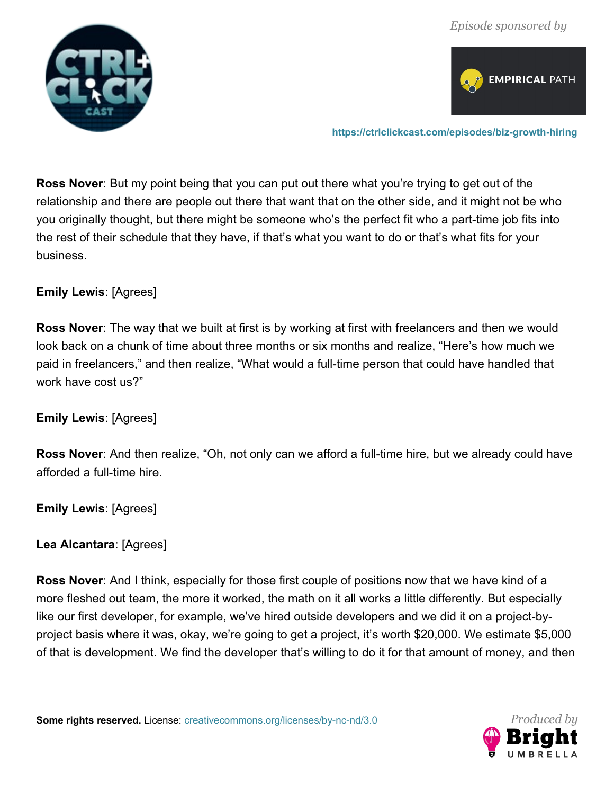



**Ross Nover**: But my point being that you can put out there what you're trying to get out of the relationship and there are people out there that want that on the other side, and it might not be who you originally thought, but there might be someone who's the perfect fit who a part-time job fits into the rest of their schedule that they have, if that's what you want to do or that's what fits for your business.

## **Emily Lewis**: [Agrees]

**Ross Nover**: The way that we built at first is by working at first with freelancers and then we would look back on a chunk of time about three months or six months and realize, "Here's how much we paid in freelancers," and then realize, "What would a full-time person that could have handled that work have cost us?"

## **Emily Lewis**: [Agrees]

**Ross Nover**: And then realize, "Oh, not only can we afford a full-time hire, but we already could have afforded a full-time hire.

**Emily Lewis**: [Agrees]

## **Lea Alcantara**: [Agrees]

**Ross Nover**: And I think, especially for those first couple of positions now that we have kind of a more fleshed out team, the more it worked, the math on it all works a little differently. But especially like our first developer, for example, we've hired outside developers and we did it on a project-byproject basis where it was, okay, we're going to get a project, it's worth \$20,000. We estimate \$5,000 of that is development. We find the developer that's willing to do it for that amount of money, and then

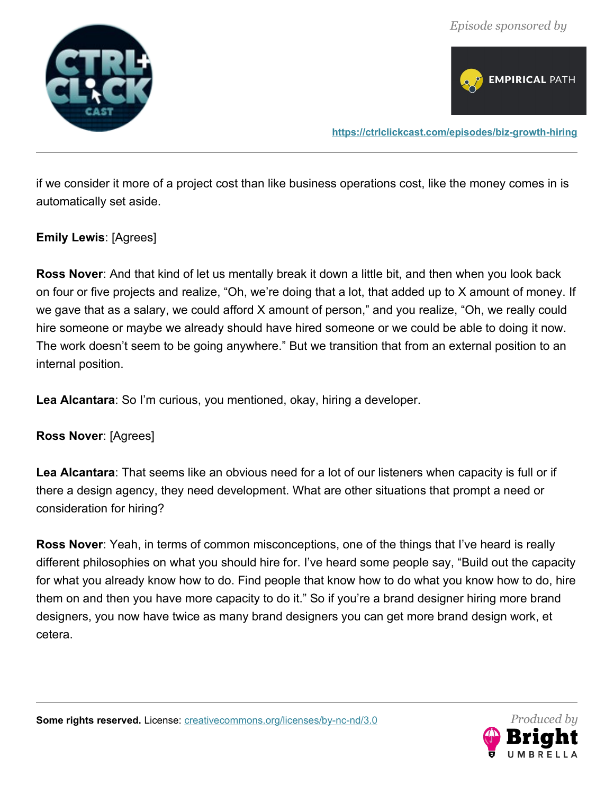



if we consider it more of a project cost than like business operations cost, like the money comes in is automatically set aside.

#### **Emily Lewis**: [Agrees]

**Ross Nover**: And that kind of let us mentally break it down a little bit, and then when you look back on four or five projects and realize, "Oh, we're doing that a lot, that added up to X amount of money. If we gave that as a salary, we could afford X amount of person," and you realize, "Oh, we really could hire someone or maybe we already should have hired someone or we could be able to doing it now. The work doesn't seem to be going anywhere." But we transition that from an external position to an internal position.

**Lea Alcantara**: So I'm curious, you mentioned, okay, hiring a developer.

**Ross Nover**: [Agrees]

**Lea Alcantara**: That seems like an obvious need for a lot of our listeners when capacity is full or if there a design agency, they need development. What are other situations that prompt a need or consideration for hiring?

**Ross Nover**: Yeah, in terms of common misconceptions, one of the things that I've heard is really different philosophies on what you should hire for. I've heard some people say, "Build out the capacity for what you already know how to do. Find people that know how to do what you know how to do, hire them on and then you have more capacity to do it." So if you're a brand designer hiring more brand designers, you now have twice as many brand designers you can get more brand design work, et cetera.

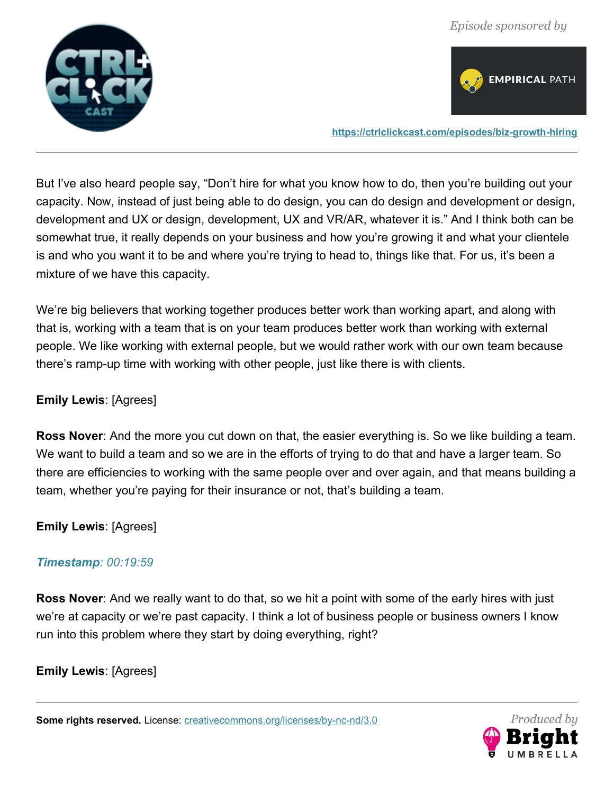



**<https://ctrlclickcast.com/episodes/biz-growth-hiring>**

But I've also heard people say, "Don't hire for what you know how to do, then you're building out your capacity. Now, instead of just being able to do design, you can do design and development or design, development and UX or design, development, UX and VR/AR, whatever it is." And I think both can be somewhat true, it really depends on your business and how you're growing it and what your clientele is and who you want it to be and where you're trying to head to, things like that. For us, it's been a mixture of we have this capacity.

We're big believers that working together produces better work than working apart, and along with that is, working with a team that is on your team produces better work than working with external people. We like working with external people, but we would rather work with our own team because there's ramp-up time with working with other people, just like there is with clients.

#### **Emily Lewis**: [Agrees]

**Ross Nover**: And the more you cut down on that, the easier everything is. So we like building a team. We want to build a team and so we are in the efforts of trying to do that and have a larger team. So there are efficiencies to working with the same people over and over again, and that means building a team, whether you're paying for their insurance or not, that's building a team.

**Emily Lewis**: [Agrees]

#### *Timestamp: 00:19:59*

**Ross Nover**: And we really want to do that, so we hit a point with some of the early hires with just we're at capacity or we're past capacity. I think a lot of business people or business owners I know run into this problem where they start by doing everything, right?

**Emily Lewis**: [Agrees]

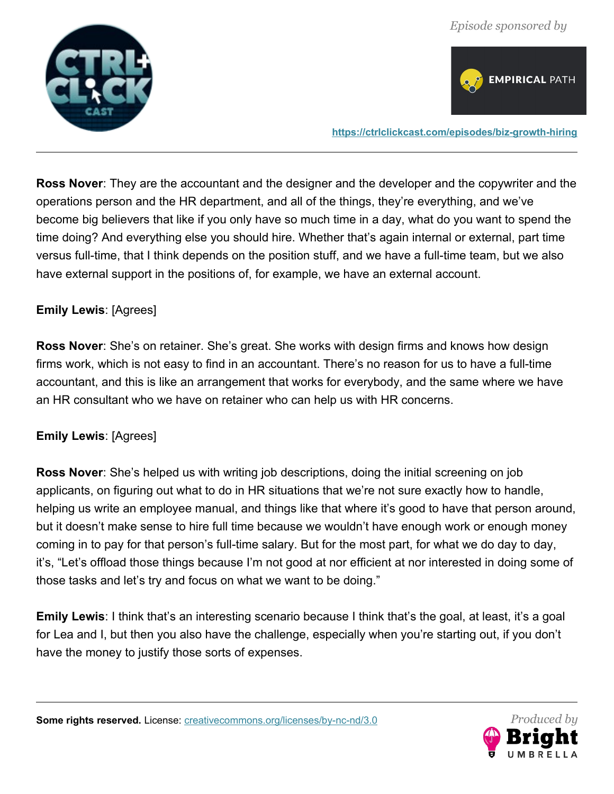



**<https://ctrlclickcast.com/episodes/biz-growth-hiring>**

**Ross Nover**: They are the accountant and the designer and the developer and the copywriter and the operations person and the HR department, and all of the things, they're everything, and we've become big believers that like if you only have so much time in a day, what do you want to spend the time doing? And everything else you should hire. Whether that's again internal or external, part time versus full-time, that I think depends on the position stuff, and we have a full-time team, but we also have external support in the positions of, for example, we have an external account.

### **Emily Lewis**: [Agrees]

**Ross Nover**: She's on retainer. She's great. She works with design firms and knows how design firms work, which is not easy to find in an accountant. There's no reason for us to have a full-time accountant, and this is like an arrangement that works for everybody, and the same where we have an HR consultant who we have on retainer who can help us with HR concerns.

#### **Emily Lewis**: [Agrees]

**Ross Nover**: She's helped us with writing job descriptions, doing the initial screening on job applicants, on figuring out what to do in HR situations that we're not sure exactly how to handle, helping us write an employee manual, and things like that where it's good to have that person around, but it doesn't make sense to hire full time because we wouldn't have enough work or enough money coming in to pay for that person's full-time salary. But for the most part, for what we do day to day, it's, "Let's offload those things because I'm not good at nor efficient at nor interested in doing some of those tasks and let's try and focus on what we want to be doing."

**Emily Lewis**: I think that's an interesting scenario because I think that's the goal, at least, it's a goal for Lea and I, but then you also have the challenge, especially when you're starting out, if you don't have the money to justify those sorts of expenses.

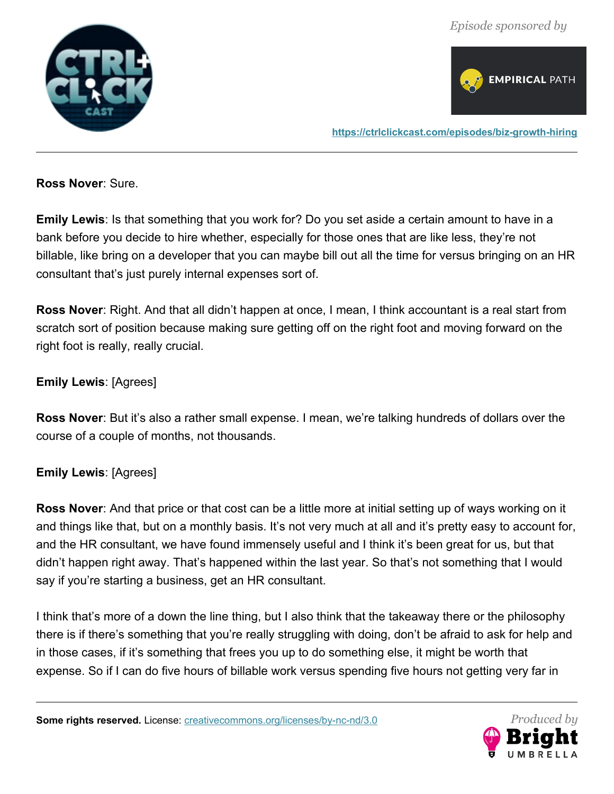



**<https://ctrlclickcast.com/episodes/biz-growth-hiring>**

**Ross Nover**: Sure.

**Emily Lewis**: Is that something that you work for? Do you set aside a certain amount to have in a bank before you decide to hire whether, especially for those ones that are like less, they're not billable, like bring on a developer that you can maybe bill out all the time for versus bringing on an HR consultant that's just purely internal expenses sort of.

**Ross Nover**: Right. And that all didn't happen at once, I mean, I think accountant is a real start from scratch sort of position because making sure getting off on the right foot and moving forward on the right foot is really, really crucial.

## **Emily Lewis**: [Agrees]

**Ross Nover**: But it's also a rather small expense. I mean, we're talking hundreds of dollars over the course of a couple of months, not thousands.

#### **Emily Lewis**: [Agrees]

**Ross Nover**: And that price or that cost can be a little more at initial setting up of ways working on it and things like that, but on a monthly basis. It's not very much at all and it's pretty easy to account for, and the HR consultant, we have found immensely useful and I think it's been great for us, but that didn't happen right away. That's happened within the last year. So that's not something that I would say if you're starting a business, get an HR consultant.

I think that's more of a down the line thing, but I also think that the takeaway there or the philosophy there is if there's something that you're really struggling with doing, don't be afraid to ask for help and in those cases, if it's something that frees you up to do something else, it might be worth that expense. So if I can do five hours of billable work versus spending five hours not getting very far in

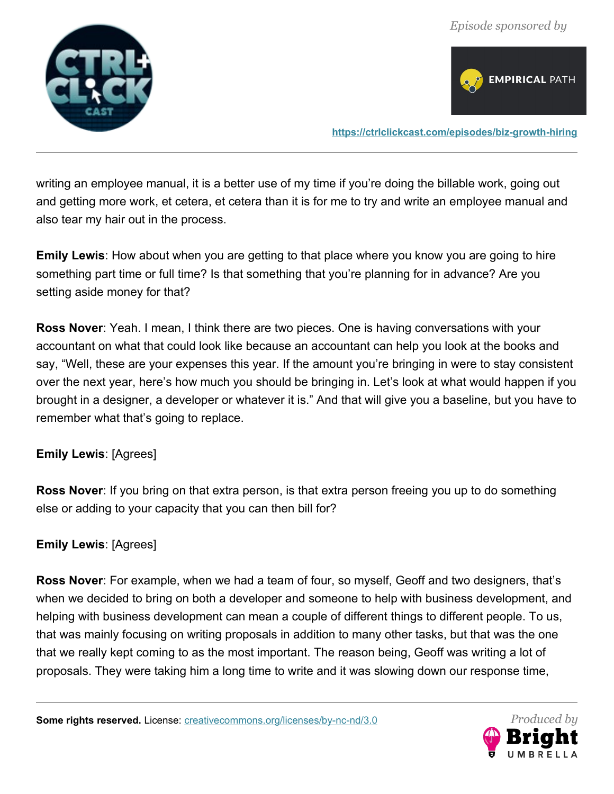



**<https://ctrlclickcast.com/episodes/biz-growth-hiring>**

writing an employee manual, it is a better use of my time if you're doing the billable work, going out and getting more work, et cetera, et cetera than it is for me to try and write an employee manual and also tear my hair out in the process.

**Emily Lewis**: How about when you are getting to that place where you know you are going to hire something part time or full time? Is that something that you're planning for in advance? Are you setting aside money for that?

**Ross Nover**: Yeah. I mean, I think there are two pieces. One is having conversations with your accountant on what that could look like because an accountant can help you look at the books and say, "Well, these are your expenses this year. If the amount you're bringing in were to stay consistent over the next year, here's how much you should be bringing in. Let's look at what would happen if you brought in a designer, a developer or whatever it is." And that will give you a baseline, but you have to remember what that's going to replace.

## **Emily Lewis**: [Agrees]

**Ross Nover**: If you bring on that extra person, is that extra person freeing you up to do something else or adding to your capacity that you can then bill for?

## **Emily Lewis**: [Agrees]

**Ross Nover**: For example, when we had a team of four, so myself, Geoff and two designers, that's when we decided to bring on both a developer and someone to help with business development, and helping with business development can mean a couple of different things to different people. To us, that was mainly focusing on writing proposals in addition to many other tasks, but that was the one that we really kept coming to as the most important. The reason being, Geoff was writing a lot of proposals. They were taking him a long time to write and it was slowing down our response time,

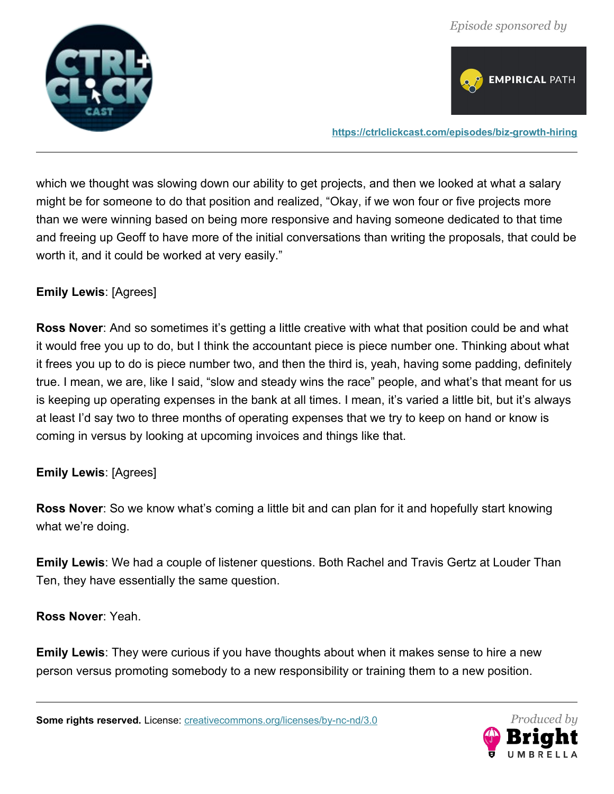



**<https://ctrlclickcast.com/episodes/biz-growth-hiring>**

which we thought was slowing down our ability to get projects, and then we looked at what a salary might be for someone to do that position and realized, "Okay, if we won four or five projects more than we were winning based on being more responsive and having someone dedicated to that time and freeing up Geoff to have more of the initial conversations than writing the proposals, that could be worth it, and it could be worked at very easily."

### **Emily Lewis**: [Agrees]

**Ross Nover**: And so sometimes it's getting a little creative with what that position could be and what it would free you up to do, but I think the accountant piece is piece number one. Thinking about what it frees you up to do is piece number two, and then the third is, yeah, having some padding, definitely true. I mean, we are, like I said, "slow and steady wins the race" people, and what's that meant for us is keeping up operating expenses in the bank at all times. I mean, it's varied a little bit, but it's always at least I'd say two to three months of operating expenses that we try to keep on hand or know is coming in versus by looking at upcoming invoices and things like that.

#### **Emily Lewis**: [Agrees]

**Ross Nover**: So we know what's coming a little bit and can plan for it and hopefully start knowing what we're doing.

**Emily Lewis**: We had a couple of listener questions. Both Rachel and Travis Gertz at Louder Than Ten, they have essentially the same question.

**Ross Nover**: Yeah.

**Emily Lewis**: They were curious if you have thoughts about when it makes sense to hire a new person versus promoting somebody to a new responsibility or training them to a new position.

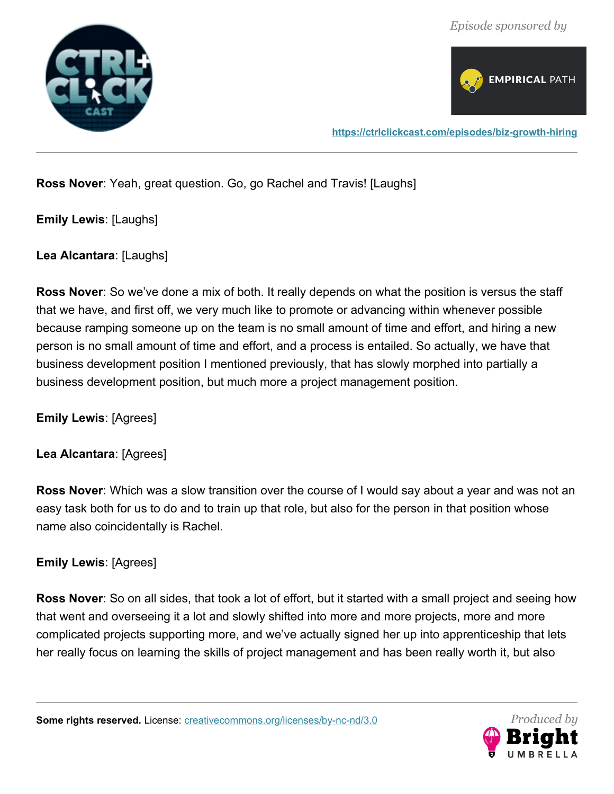



**Ross Nover**: Yeah, great question. Go, go Rachel and Travis! [Laughs]

**Emily Lewis**: [Laughs]

**Lea Alcantara**: [Laughs]

**Ross Nover**: So we've done a mix of both. It really depends on what the position is versus the staff that we have, and first off, we very much like to promote or advancing within whenever possible because ramping someone up on the team is no small amount of time and effort, and hiring a new person is no small amount of time and effort, and a process is entailed. So actually, we have that business development position I mentioned previously, that has slowly morphed into partially a business development position, but much more a project management position.

**Emily Lewis**: [Agrees]

## **Lea Alcantara**: [Agrees]

**Ross Nover**: Which was a slow transition over the course of I would say about a year and was not an easy task both for us to do and to train up that role, but also for the person in that position whose name also coincidentally is Rachel.

## **Emily Lewis**: [Agrees]

**Ross Nover**: So on all sides, that took a lot of effort, but it started with a small project and seeing how that went and overseeing it a lot and slowly shifted into more and more projects, more and more complicated projects supporting more, and we've actually signed her up into apprenticeship that lets her really focus on learning the skills of project management and has been really worth it, but also

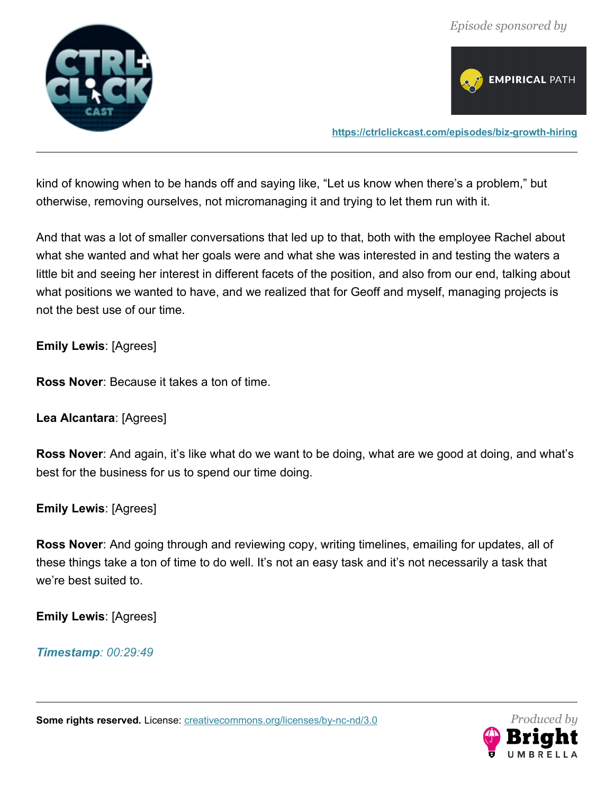



**<https://ctrlclickcast.com/episodes/biz-growth-hiring>**

kind of knowing when to be hands off and saying like, "Let us know when there's a problem," but otherwise, removing ourselves, not micromanaging it and trying to let them run with it.

And that was a lot of smaller conversations that led up to that, both with the employee Rachel about what she wanted and what her goals were and what she was interested in and testing the waters a little bit and seeing her interest in different facets of the position, and also from our end, talking about what positions we wanted to have, and we realized that for Geoff and myself, managing projects is not the best use of our time.

**Emily Lewis**: [Agrees]

**Ross Nover**: Because it takes a ton of time.

**Lea Alcantara**: [Agrees]

**Ross Nover**: And again, it's like what do we want to be doing, what are we good at doing, and what's best for the business for us to spend our time doing.

**Emily Lewis**: [Agrees]

**Ross Nover**: And going through and reviewing copy, writing timelines, emailing for updates, all of these things take a ton of time to do well. It's not an easy task and it's not necessarily a task that we're best suited to.

**Emily Lewis**: [Agrees]

*Timestamp: 00:29:49*

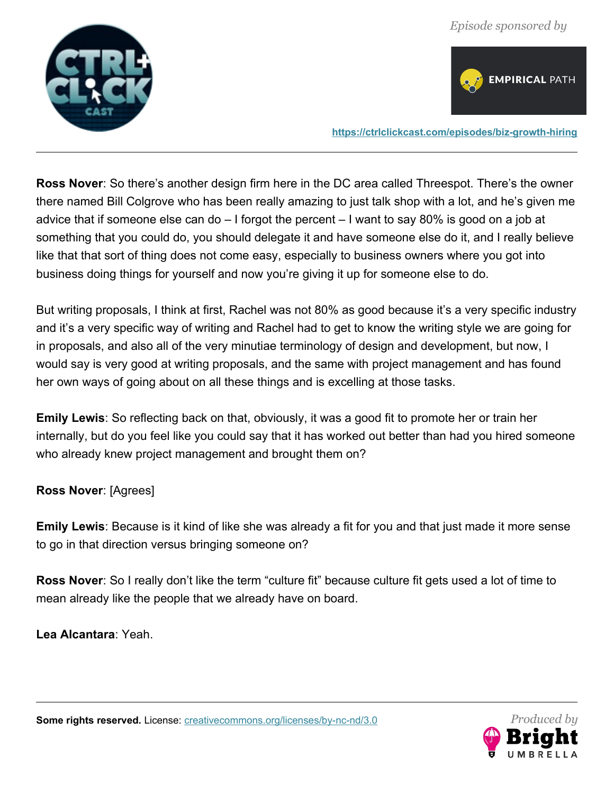



**<https://ctrlclickcast.com/episodes/biz-growth-hiring>**

**Ross Nover**: So there's another design firm here in the DC area called Threespot. There's the owner there named Bill Colgrove who has been really amazing to just talk shop with a lot, and he's given me advice that if someone else can do – I forgot the percent – I want to say 80% is good on a job at something that you could do, you should delegate it and have someone else do it, and I really believe like that that sort of thing does not come easy, especially to business owners where you got into business doing things for yourself and now you're giving it up for someone else to do.

But writing proposals, I think at first, Rachel was not 80% as good because it's a very specific industry and it's a very specific way of writing and Rachel had to get to know the writing style we are going for in proposals, and also all of the very minutiae terminology of design and development, but now, I would say is very good at writing proposals, and the same with project management and has found her own ways of going about on all these things and is excelling at those tasks.

**Emily Lewis**: So reflecting back on that, obviously, it was a good fit to promote her or train her internally, but do you feel like you could say that it has worked out better than had you hired someone who already knew project management and brought them on?

**Ross Nover**: [Agrees]

**Emily Lewis**: Because is it kind of like she was already a fit for you and that just made it more sense to go in that direction versus bringing someone on?

**Ross Nover**: So I really don't like the term "culture fit" because culture fit gets used a lot of time to mean already like the people that we already have on board.

**Lea Alcantara**: Yeah.

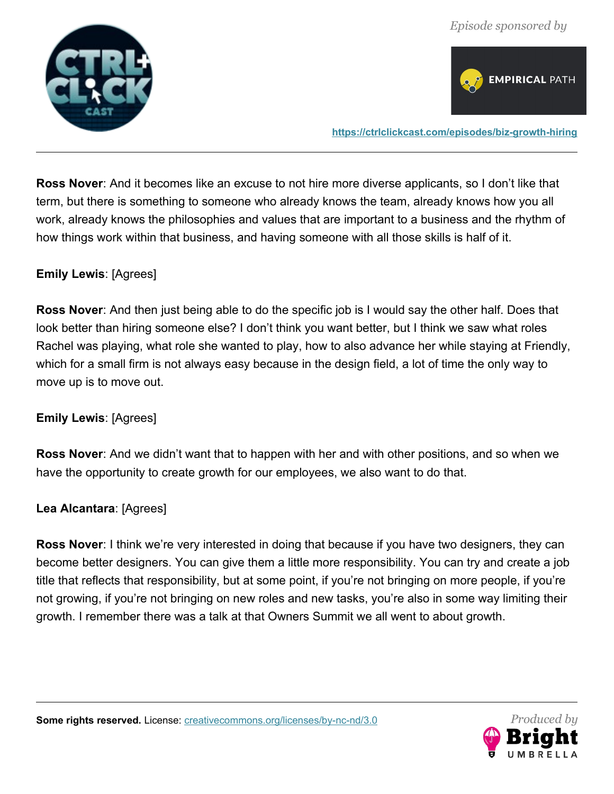



**Ross Nover**: And it becomes like an excuse to not hire more diverse applicants, so I don't like that term, but there is something to someone who already knows the team, already knows how you all work, already knows the philosophies and values that are important to a business and the rhythm of how things work within that business, and having someone with all those skills is half of it.

### **Emily Lewis**: [Agrees]

**Ross Nover**: And then just being able to do the specific job is I would say the other half. Does that look better than hiring someone else? I don't think you want better, but I think we saw what roles Rachel was playing, what role she wanted to play, how to also advance her while staying at Friendly, which for a small firm is not always easy because in the design field, a lot of time the only way to move up is to move out.

#### **Emily Lewis**: [Agrees]

**Ross Nover**: And we didn't want that to happen with her and with other positions, and so when we have the opportunity to create growth for our employees, we also want to do that.

#### **Lea Alcantara**: [Agrees]

**Ross Nover**: I think we're very interested in doing that because if you have two designers, they can become better designers. You can give them a little more responsibility. You can try and create a job title that reflects that responsibility, but at some point, if you're not bringing on more people, if you're not growing, if you're not bringing on new roles and new tasks, you're also in some way limiting their growth. I remember there was a talk at that Owners Summit we all went to about growth.

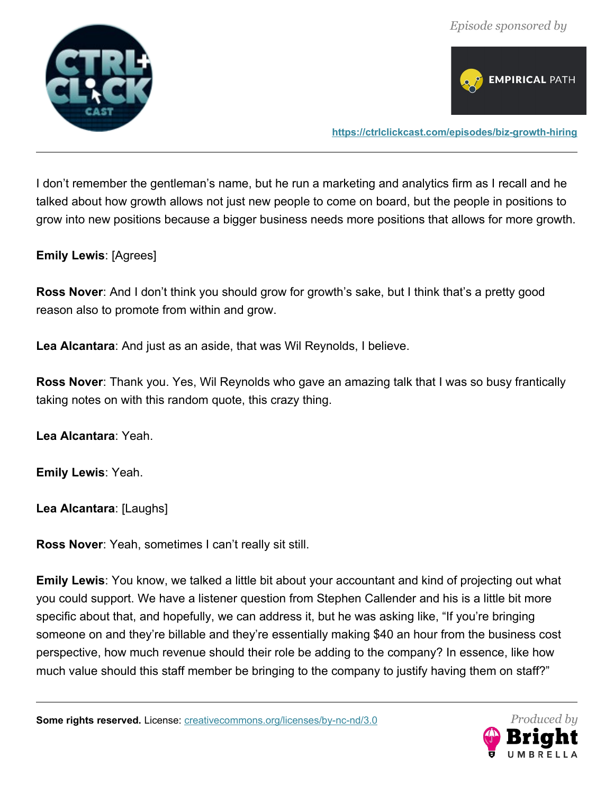



**<https://ctrlclickcast.com/episodes/biz-growth-hiring>**

I don't remember the gentleman's name, but he run a marketing and analytics firm as I recall and he talked about how growth allows not just new people to come on board, but the people in positions to grow into new positions because a bigger business needs more positions that allows for more growth.

#### **Emily Lewis**: [Agrees]

**Ross Nover**: And I don't think you should grow for growth's sake, but I think that's a pretty good reason also to promote from within and grow.

**Lea Alcantara**: And just as an aside, that was Wil Reynolds, I believe.

**Ross Nover**: Thank you. Yes, Wil Reynolds who gave an amazing talk that I was so busy frantically taking notes on with this random quote, this crazy thing.

**Lea Alcantara**: Yeah.

**Emily Lewis**: Yeah.

**Lea Alcantara**: [Laughs]

**Ross Nover**: Yeah, sometimes I can't really sit still.

**Emily Lewis**: You know, we talked a little bit about your accountant and kind of projecting out what you could support. We have a listener question from Stephen Callender and his is a little bit more specific about that, and hopefully, we can address it, but he was asking like, "If you're bringing someone on and they're billable and they're essentially making \$40 an hour from the business cost perspective, how much revenue should their role be adding to the company? In essence, like how much value should this staff member be bringing to the company to justify having them on staff?"

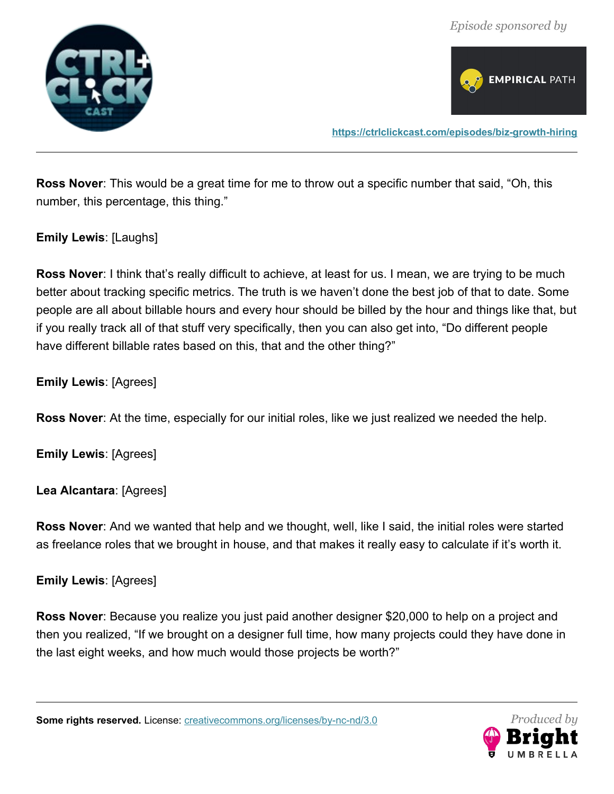



**Ross Nover**: This would be a great time for me to throw out a specific number that said, "Oh, this number, this percentage, this thing."

**Emily Lewis**: [Laughs]

**Ross Nover:** I think that's really difficult to achieve, at least for us. I mean, we are trying to be much better about tracking specific metrics. The truth is we haven't done the best job of that to date. Some people are all about billable hours and every hour should be billed by the hour and things like that, but if you really track all of that stuff very specifically, then you can also get into, "Do different people have different billable rates based on this, that and the other thing?"

**Emily Lewis**: [Agrees]

**Ross Nover**: At the time, especially for our initial roles, like we just realized we needed the help.

**Emily Lewis**: [Agrees]

**Lea Alcantara**: [Agrees]

**Ross Nover**: And we wanted that help and we thought, well, like I said, the initial roles were started as freelance roles that we brought in house, and that makes it really easy to calculate if it's worth it.

**Emily Lewis**: [Agrees]

**Ross Nover**: Because you realize you just paid another designer \$20,000 to help on a project and then you realized, "If we brought on a designer full time, how many projects could they have done in the last eight weeks, and how much would those projects be worth?"

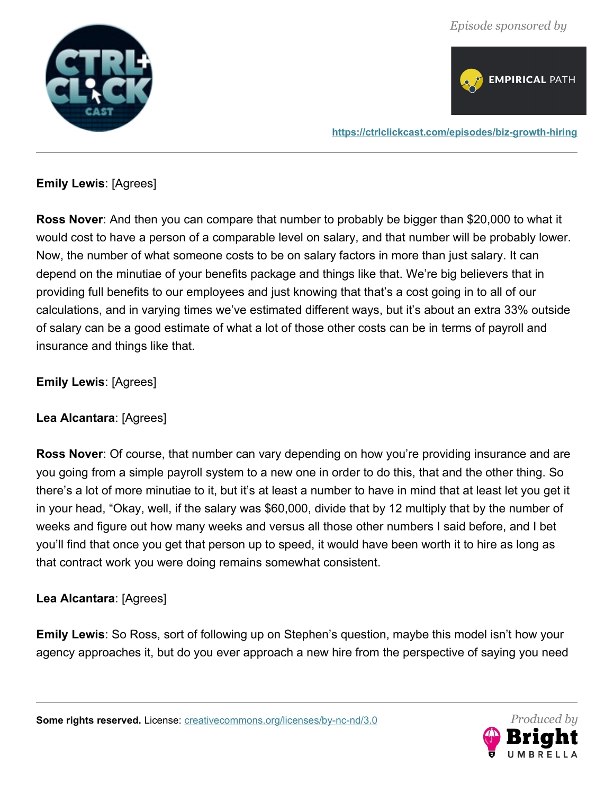



**Emily Lewis**: [Agrees]

**Ross Nover**: And then you can compare that number to probably be bigger than \$20,000 to what it would cost to have a person of a comparable level on salary, and that number will be probably lower. Now, the number of what someone costs to be on salary factors in more than just salary. It can depend on the minutiae of your benefits package and things like that. We're big believers that in providing full benefits to our employees and just knowing that that's a cost going in to all of our calculations, and in varying times we've estimated different ways, but it's about an extra 33% outside of salary can be a good estimate of what a lot of those other costs can be in terms of payroll and insurance and things like that.

**Emily Lewis**: [Agrees]

**Lea Alcantara**: [Agrees]

**Ross Nover**: Of course, that number can vary depending on how you're providing insurance and are you going from a simple payroll system to a new one in order to do this, that and the other thing. So there's a lot of more minutiae to it, but it's at least a number to have in mind that at least let you get it in your head, "Okay, well, if the salary was \$60,000, divide that by 12 multiply that by the number of weeks and figure out how many weeks and versus all those other numbers I said before, and I bet you'll find that once you get that person up to speed, it would have been worth it to hire as long as that contract work you were doing remains somewhat consistent.

**Lea Alcantara**: [Agrees]

**Emily Lewis**: So Ross, sort of following up on Stephen's question, maybe this model isn't how your agency approaches it, but do you ever approach a new hire from the perspective of saying you need

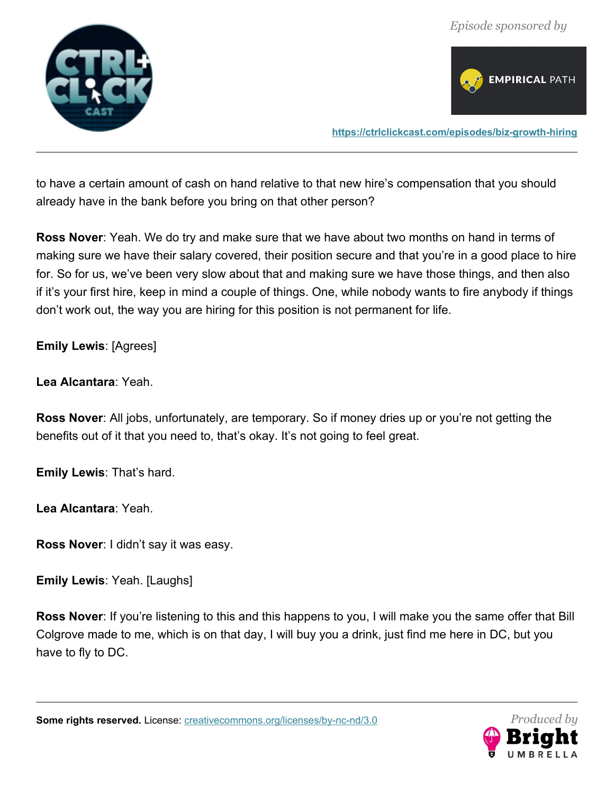



to have a certain amount of cash on hand relative to that new hire's compensation that you should already have in the bank before you bring on that other person?

**Ross Nover**: Yeah. We do try and make sure that we have about two months on hand in terms of making sure we have their salary covered, their position secure and that you're in a good place to hire for. So for us, we've been very slow about that and making sure we have those things, and then also if it's your first hire, keep in mind a couple of things. One, while nobody wants to fire anybody if things don't work out, the way you are hiring for this position is not permanent for life.

**Emily Lewis**: [Agrees]

**Lea Alcantara**: Yeah.

**Ross Nover**: All jobs, unfortunately, are temporary. So if money dries up or you're not getting the benefits out of it that you need to, that's okay. It's not going to feel great.

**Emily Lewis**: That's hard.

**Lea Alcantara**: Yeah.

**Ross Nover**: I didn't say it was easy.

**Emily Lewis**: Yeah. [Laughs]

**Ross Nover**: If you're listening to this and this happens to you, I will make you the same offer that Bill Colgrove made to me, which is on that day, I will buy you a drink, just find me here in DC, but you have to fly to DC.

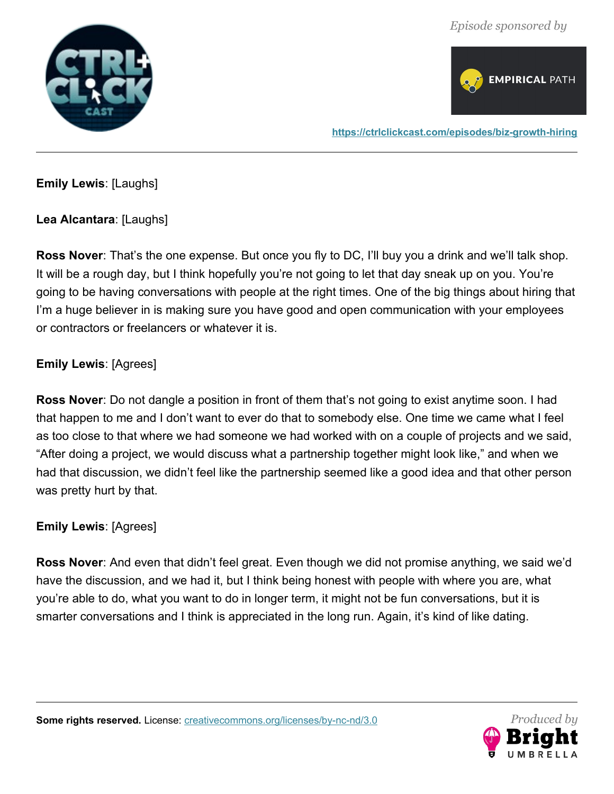



**Emily Lewis**: [Laughs]

**Lea Alcantara**: [Laughs]

**Ross Nover**: That's the one expense. But once you fly to DC, I'll buy you a drink and we'll talk shop. It will be a rough day, but I think hopefully you're not going to let that day sneak up on you. You're going to be having conversations with people at the right times. One of the big things about hiring that I'm a huge believer in is making sure you have good and open communication with your employees or contractors or freelancers or whatever it is.

## **Emily Lewis**: [Agrees]

**Ross Nover**: Do not dangle a position in front of them that's not going to exist anytime soon. I had that happen to me and I don't want to ever do that to somebody else. One time we came what I feel as too close to that where we had someone we had worked with on a couple of projects and we said, "After doing a project, we would discuss what a partnership together might look like," and when we had that discussion, we didn't feel like the partnership seemed like a good idea and that other person was pretty hurt by that.

#### **Emily Lewis**: [Agrees]

**Ross Nover**: And even that didn't feel great. Even though we did not promise anything, we said we'd have the discussion, and we had it, but I think being honest with people with where you are, what you're able to do, what you want to do in longer term, it might not be fun conversations, but it is smarter conversations and I think is appreciated in the long run. Again, it's kind of like dating.

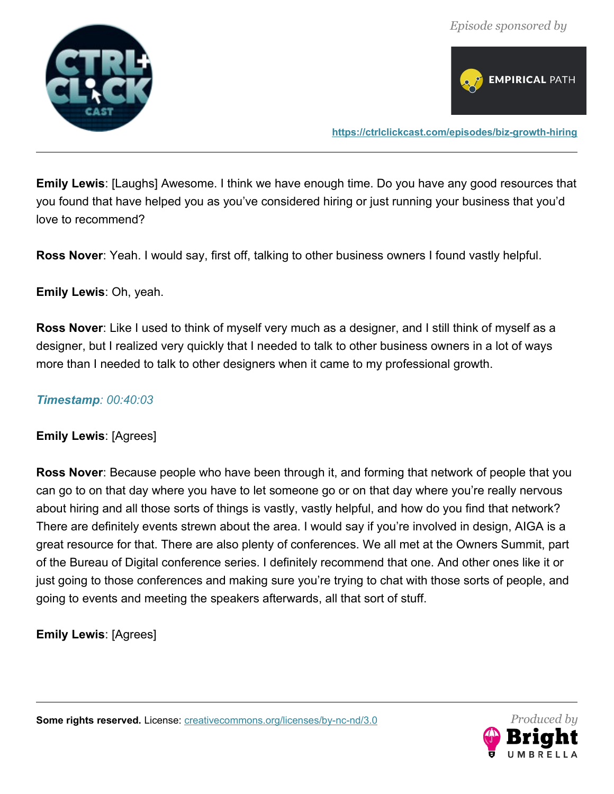



**Emily Lewis**: [Laughs] Awesome. I think we have enough time. Do you have any good resources that you found that have helped you as you've considered hiring or just running your business that you'd love to recommend?

**Ross Nover**: Yeah. I would say, first off, talking to other business owners I found vastly helpful.

**Emily Lewis**: Oh, yeah.

**Ross Nover**: Like I used to think of myself very much as a designer, and I still think of myself as a designer, but I realized very quickly that I needed to talk to other business owners in a lot of ways more than I needed to talk to other designers when it came to my professional growth.

#### *Timestamp: 00:40:03*

**Emily Lewis**: [Agrees]

**Ross Nover**: Because people who have been through it, and forming that network of people that you can go to on that day where you have to let someone go or on that day where you're really nervous about hiring and all those sorts of things is vastly, vastly helpful, and how do you find that network? There are definitely events strewn about the area. I would say if you're involved in design, AIGA is a great resource for that. There are also plenty of conferences. We all met at the Owners Summit, part of the Bureau of Digital conference series. I definitely recommend that one. And other ones like it or just going to those conferences and making sure you're trying to chat with those sorts of people, and going to events and meeting the speakers afterwards, all that sort of stuff.

**Emily Lewis**: [Agrees]

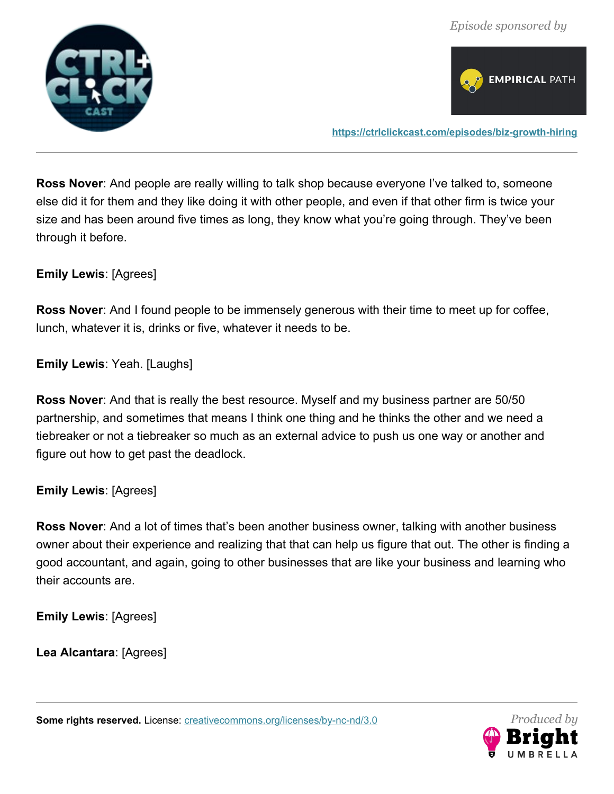



**Ross Nover**: And people are really willing to talk shop because everyone I've talked to, someone else did it for them and they like doing it with other people, and even if that other firm is twice your size and has been around five times as long, they know what you're going through. They've been through it before.

**Emily Lewis**: [Agrees]

**Ross Nover**: And I found people to be immensely generous with their time to meet up for coffee, lunch, whatever it is, drinks or five, whatever it needs to be.

**Emily Lewis**: Yeah. [Laughs]

**Ross Nover**: And that is really the best resource. Myself and my business partner are 50/50 partnership, and sometimes that means I think one thing and he thinks the other and we need a tiebreaker or not a tiebreaker so much as an external advice to push us one way or another and figure out how to get past the deadlock.

**Emily Lewis**: [Agrees]

**Ross Nover**: And a lot of times that's been another business owner, talking with another business owner about their experience and realizing that that can help us figure that out. The other is finding a good accountant, and again, going to other businesses that are like your business and learning who their accounts are.

**Emily Lewis**: [Agrees]

**Lea Alcantara**: [Agrees]

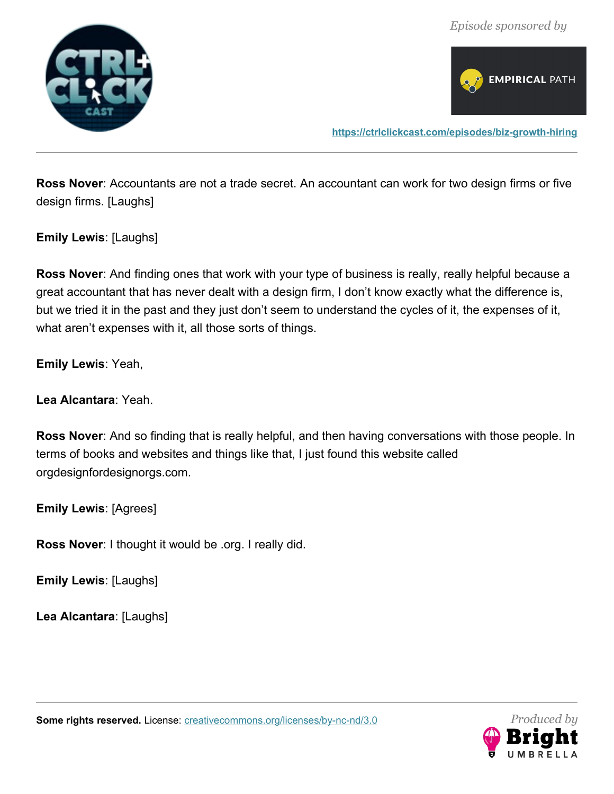



**Ross Nover**: Accountants are not a trade secret. An accountant can work for two design firms or five design firms. [Laughs]

**Emily Lewis**: [Laughs]

**Ross Nover**: And finding ones that work with your type of business is really, really helpful because a great accountant that has never dealt with a design firm, I don't know exactly what the difference is, but we tried it in the past and they just don't seem to understand the cycles of it, the expenses of it, what aren't expenses with it, all those sorts of things.

**Emily Lewis**: Yeah,

**Lea Alcantara**: Yeah.

**Ross Nover**: And so finding that is really helpful, and then having conversations with those people. In terms of books and websites and things like that, I just found this website called orgdesignfordesignorgs.com.

**Emily Lewis**: [Agrees]

**Ross Nover**: I thought it would be .org. I really did.

**Emily Lewis**: [Laughs]

**Lea Alcantara**: [Laughs]

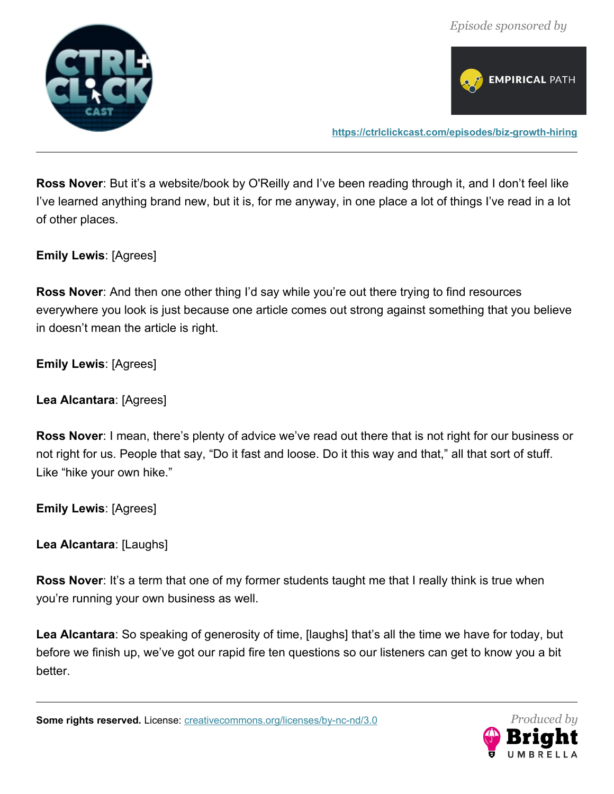



**<https://ctrlclickcast.com/episodes/biz-growth-hiring>**

**Ross Nover**: But it's a website/book by O'Reilly and I've been reading through it, and I don't feel like I've learned anything brand new, but it is, for me anyway, in one place a lot of things I've read in a lot of other places.

**Emily Lewis**: [Agrees]

**Ross Nover**: And then one other thing I'd say while you're out there trying to find resources everywhere you look is just because one article comes out strong against something that you believe in doesn't mean the article is right.

**Emily Lewis**: [Agrees]

**Lea Alcantara**: [Agrees]

**Ross Nover**: I mean, there's plenty of advice we've read out there that is not right for our business or not right for us. People that say, "Do it fast and loose. Do it this way and that," all that sort of stuff. Like "hike your own hike."

**Emily Lewis**: [Agrees]

**Lea Alcantara**: [Laughs]

**Ross Nover**: It's a term that one of my former students taught me that I really think is true when you're running your own business as well.

**Lea Alcantara**: So speaking of generosity of time, [laughs] that's all the time we have for today, but before we finish up, we've got our rapid fire ten questions so our listeners can get to know you a bit better.

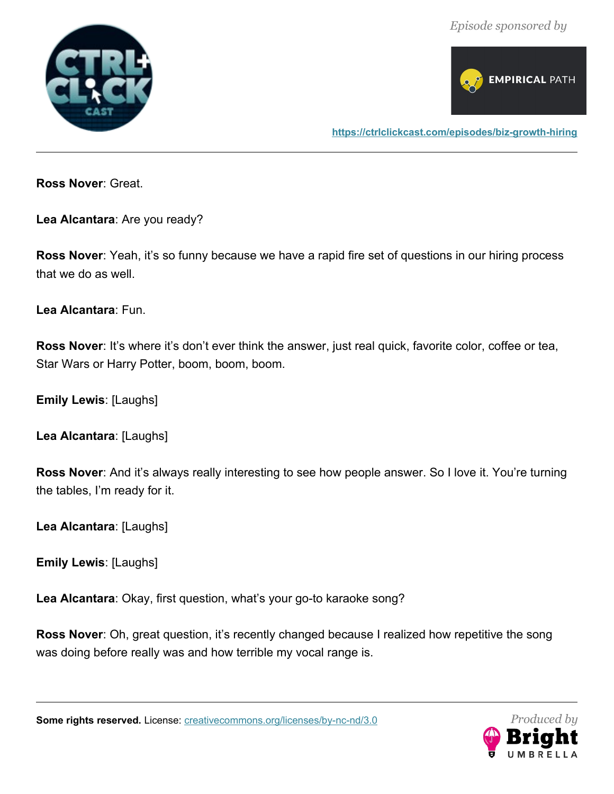



**Ross Nover**: Great.

**Lea Alcantara**: Are you ready?

**Ross Nover**: Yeah, it's so funny because we have a rapid fire set of questions in our hiring process that we do as well.

**Lea Alcantara**: Fun.

**Ross Nover**: It's where it's don't ever think the answer, just real quick, favorite color, coffee or tea, Star Wars or Harry Potter, boom, boom, boom.

**Emily Lewis**: [Laughs]

**Lea Alcantara**: [Laughs]

**Ross Nover**: And it's always really interesting to see how people answer. So I love it. You're turning the tables, I'm ready for it.

**Lea Alcantara**: [Laughs]

**Emily Lewis**: [Laughs]

**Lea Alcantara**: Okay, first question, what's your go-to karaoke song?

**Ross Nover**: Oh, great question, it's recently changed because I realized how repetitive the song was doing before really was and how terrible my vocal range is.

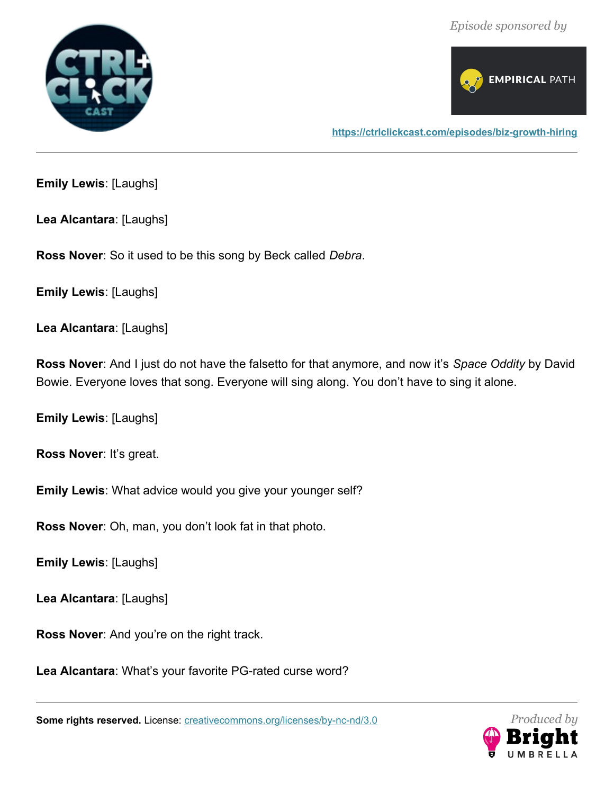



**Emily Lewis**: [Laughs]

**Lea Alcantara**: [Laughs]

**Ross Nover**: So it used to be this song by Beck called *Debra*.

**Emily Lewis**: [Laughs]

**Lea Alcantara**: [Laughs]

**Ross Nover**: And I just do not have the falsetto for that anymore, and now it's *Space Oddity* by David Bowie. Everyone loves that song. Everyone will sing along. You don't have to sing it alone.

**Emily Lewis**: [Laughs]

**Ross Nover**: It's great.

**Emily Lewis**: What advice would you give your younger self?

**Ross Nover**: Oh, man, you don't look fat in that photo.

**Emily Lewis**: [Laughs]

**Lea Alcantara**: [Laughs]

**Ross Nover**: And you're on the right track.

**Lea Alcantara**: What's your favorite PG-rated curse word?

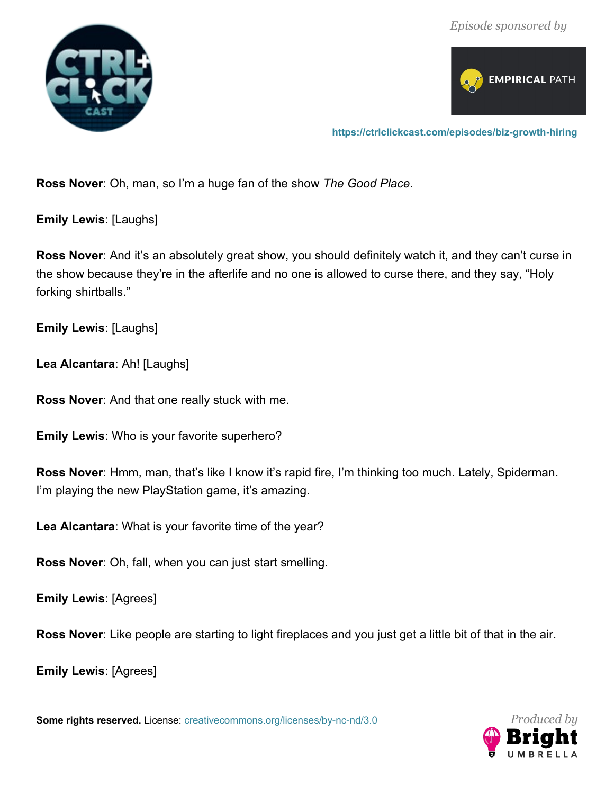



**Ross Nover**: Oh, man, so I'm a huge fan of the show *The Good Place*.

**Emily Lewis**: [Laughs]

**Ross Nover:** And it's an absolutely great show, you should definitely watch it, and they can't curse in the show because they're in the afterlife and no one is allowed to curse there, and they say, "Holy forking shirtballs."

**Emily Lewis**: [Laughs]

**Lea Alcantara**: Ah! [Laughs]

**Ross Nover**: And that one really stuck with me.

**Emily Lewis**: Who is your favorite superhero?

**Ross Nover**: Hmm, man, that's like I know it's rapid fire, I'm thinking too much. Lately, Spiderman. I'm playing the new PlayStation game, it's amazing.

**Lea Alcantara**: What is your favorite time of the year?

**Ross Nover**: Oh, fall, when you can just start smelling.

**Emily Lewis**: [Agrees]

**Ross Nover**: Like people are starting to light fireplaces and you just get a little bit of that in the air.

**Emily Lewis**: [Agrees]

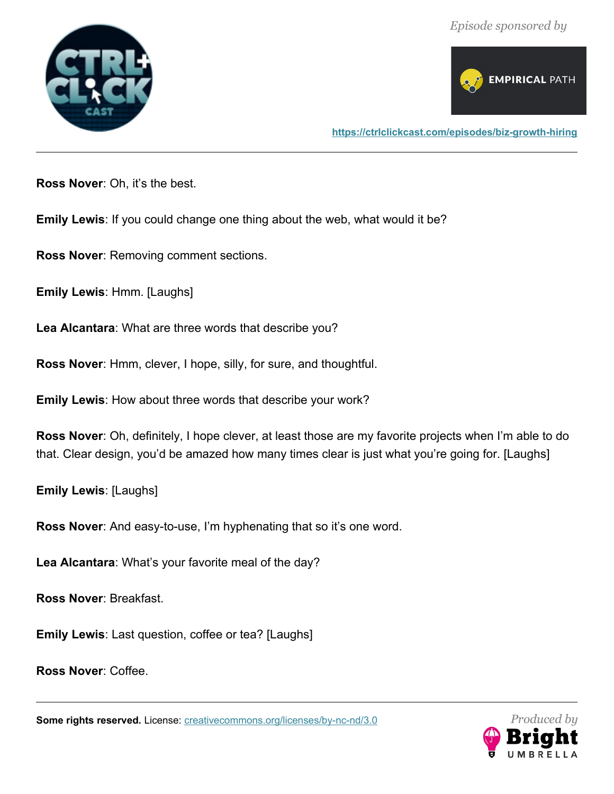



**<https://ctrlclickcast.com/episodes/biz-growth-hiring>**

**Ross Nover**: Oh, it's the best.

**Emily Lewis**: If you could change one thing about the web, what would it be?

**Ross Nover**: Removing comment sections.

**Emily Lewis**: Hmm. [Laughs]

**Lea Alcantara**: What are three words that describe you?

**Ross Nover**: Hmm, clever, I hope, silly, for sure, and thoughtful.

**Emily Lewis**: How about three words that describe your work?

**Ross Nover**: Oh, definitely, I hope clever, at least those are my favorite projects when I'm able to do that. Clear design, you'd be amazed how many times clear is just what you're going for. [Laughs]

**Emily Lewis**: [Laughs]

**Ross Nover**: And easy-to-use, I'm hyphenating that so it's one word.

**Lea Alcantara**: What's your favorite meal of the day?

**Ross Nover**: Breakfast.

**Emily Lewis**: Last question, coffee or tea? [Laughs]

**Ross Nover**: Coffee.

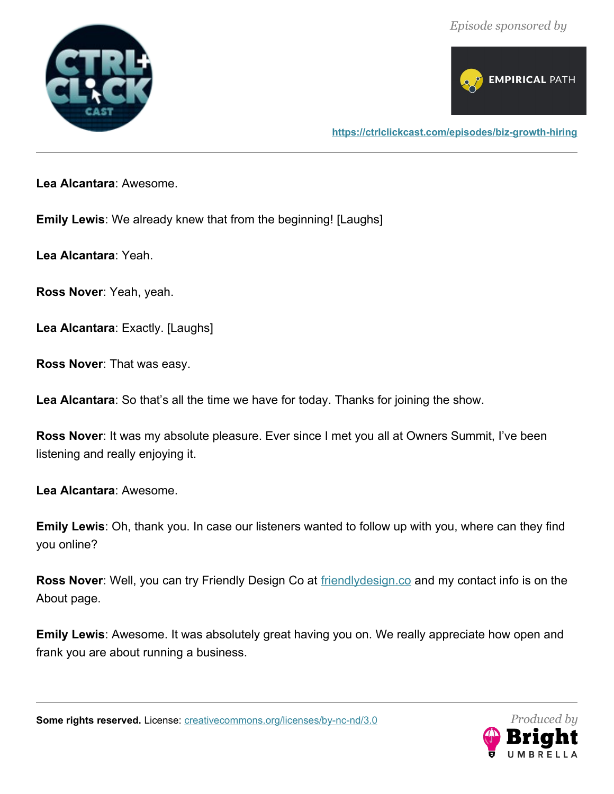



**Lea Alcantara**: Awesome.

**Emily Lewis**: We already knew that from the beginning! [Laughs]

**Lea Alcantara**: Yeah.

**Ross Nover**: Yeah, yeah.

**Lea Alcantara**: Exactly. [Laughs]

**Ross Nover**: That was easy.

**Lea Alcantara**: So that's all the time we have for today. Thanks for joining the show.

**Ross Nover**: It was my absolute pleasure. Ever since I met you all at Owners Summit, I've been listening and really enjoying it.

**Lea Alcantara**: Awesome.

**Emily Lewis**: Oh, thank you. In case our listeners wanted to follow up with you, where can they find you online?

**Ross Nover**: Well, you can try Friendly Design Co at **[friendlydesign.co](http://www.friendlydesign.co/)** and my contact info is on the About page.

**Emily Lewis**: Awesome. It was absolutely great having you on. We really appreciate how open and frank you are about running a business.

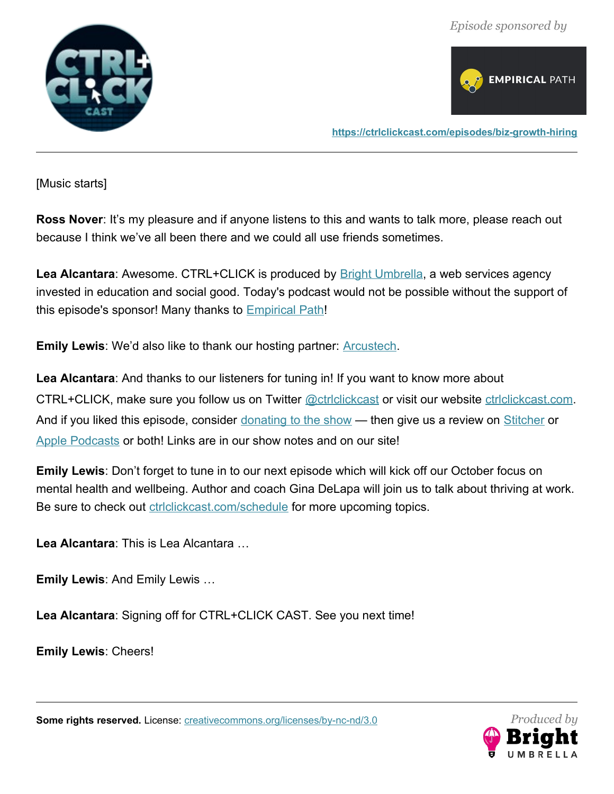



**<https://ctrlclickcast.com/episodes/biz-growth-hiring>**

[Music starts]

**Ross Nover:** It's my pleasure and if anyone listens to this and wants to talk more, please reach out because I think we've all been there and we could all use friends sometimes.

Lea Alcantara: Awesome. CTRL+CLICK is produced by **[Bright Umbrella](https://abrightumbrella.com/)**, a web services agency invested in education and social good. Today's podcast would not be possible without the support of this episode's sponsor! Many thanks to **[Empirical Path](https://www.empiricalpath.com/)!** 

**Emily Lewis:** We'd also like to thank our hosting partner: **Arcustech**.

**Lea Alcantara**: And thanks to our listeners for tuning in! If you want to know more about CTRL+CLICK, make sure you follow us on Twitter **@ctrlclickcast** or visit our website [ctrlclickcast.com](http://ctrlclickcast.com/). And if you liked this episode, consider [donating to the show](https://www.paypal.com/cgi-bin/webscr?cmd=_donations&business=info@ctrlclickcast.com&lc=US&item_name=CTRL%2BCLICK%20CAST&no_note=0¤cy_code=USD&bn=PP-DonationsBF%3Actrlclick_75x75.png%3ANonHostedGuest) — then give us a review on [Stitcher](http://www.stitcher.com/s?fid=49341&refid=stpr) or [Apple Podcasts](https://itunes.apple.com/us/podcast/ctrl+click-cast/id446900959) or both! Links are in our show notes and on our site!

**Emily Lewis**: Don't forget to tune in to our next episode which will kick off our October focus on mental health and wellbeing. Author and coach Gina DeLapa will join us to talk about thriving at work. Be sure to check out **ctrlclickcast.com/schedule** for more upcoming topics.

**Lea Alcantara**: This is Lea Alcantara …

**Emily Lewis**: And Emily Lewis …

**Lea Alcantara**: Signing off for CTRL+CLICK CAST. See you next time!

**Emily Lewis**: Cheers!